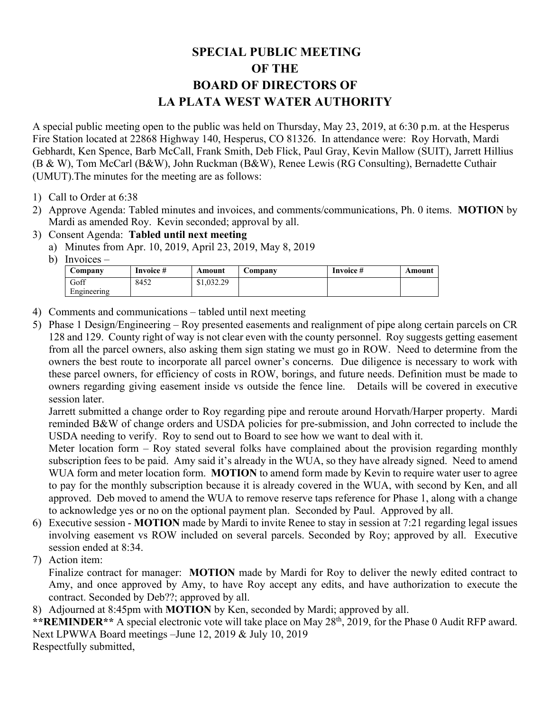## **SPECIAL PUBLIC MEETING OF THE BOARD OF DIRECTORS OF LA PLATA WEST WATER AUTHORITY**

A special public meeting open to the public was held on Thursday, May 23, 2019, at 6:30 p.m. at the Hesperus Fire Station located at 22868 Highway 140, Hesperus, CO 81326. In attendance were: Roy Horvath, Mardi Gebhardt, Ken Spence, Barb McCall, Frank Smith, Deb Flick, Paul Gray, Kevin Mallow (SUIT), Jarrett Hillius (B & W), Tom McCarl (B&W), John Ruckman (B&W), Renee Lewis (RG Consulting), Bernadette Cuthair (UMUT).The minutes for the meeting are as follows:

- 1) Call to Order at 6:38
- 2) Approve Agenda: Tabled minutes and invoices, and comments/communications, Ph. 0 items. **MOTION** by Mardi as amended Roy. Kevin seconded; approval by all.
- 3) Consent Agenda: **Tabled until next meeting**
	- a) Minutes from Apr. 10, 2019, April 23, 2019, May 8, 2019
		- b) Invoices –

| Company     | Invoice # | Amount     | <b>Company</b> | Invoice # | Amount |
|-------------|-----------|------------|----------------|-----------|--------|
| Goff        | 8452      | \$1,032.29 |                |           |        |
| Engineering |           |            |                |           |        |

- 4) Comments and communications tabled until next meeting
- 5) Phase 1 Design/Engineering Roy presented easements and realignment of pipe along certain parcels on CR 128 and 129. County right of way is not clear even with the county personnel. Roy suggests getting easement from all the parcel owners, also asking them sign stating we must go in ROW. Need to determine from the owners the best route to incorporate all parcel owner's concerns. Due diligence is necessary to work with these parcel owners, for efficiency of costs in ROW, borings, and future needs. Definition must be made to owners regarding giving easement inside vs outside the fence line. Details will be covered in executive session later.

Jarrett submitted a change order to Roy regarding pipe and reroute around Horvath/Harper property. Mardi reminded B&W of change orders and USDA policies for pre-submission, and John corrected to include the USDA needing to verify. Roy to send out to Board to see how we want to deal with it.

Meter location form – Roy stated several folks have complained about the provision regarding monthly subscription fees to be paid. Amy said it's already in the WUA, so they have already signed. Need to amend WUA form and meter location form. **MOTION** to amend form made by Kevin to require water user to agree to pay for the monthly subscription because it is already covered in the WUA, with second by Ken, and all approved. Deb moved to amend the WUA to remove reserve taps reference for Phase 1, along with a change to acknowledge yes or no on the optional payment plan. Seconded by Paul. Approved by all.

6) Executive session - **MOTION** made by Mardi to invite Renee to stay in session at 7:21 regarding legal issues involving easement vs ROW included on several parcels. Seconded by Roy; approved by all. Executive session ended at 8:34.

7) Action item:

Finalize contract for manager: **MOTION** made by Mardi for Roy to deliver the newly edited contract to Amy, and once approved by Amy, to have Roy accept any edits, and have authorization to execute the contract. Seconded by Deb??; approved by all.

8) Adjourned at 8:45pm with **MOTION** by Ken, seconded by Mardi; approved by all.

\*\*REMINDER\*\* A special electronic vote will take place on May 28<sup>th</sup>, 2019, for the Phase 0 Audit RFP award. Next LPWWA Board meetings –June 12, 2019 & July 10, 2019 Respectfully submitted,